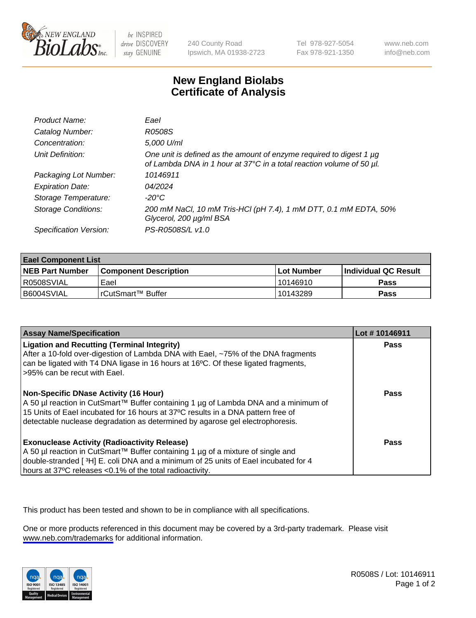

be INSPIRED drive DISCOVERY stay GENUINE

240 County Road Ipswich, MA 01938-2723 Tel 978-927-5054 Fax 978-921-1350

www.neb.com info@neb.com

## **New England Biolabs Certificate of Analysis**

| Product Name:              | Eael                                                                                                                                        |
|----------------------------|---------------------------------------------------------------------------------------------------------------------------------------------|
| Catalog Number:            | R0508S                                                                                                                                      |
| Concentration:             | 5,000 U/ml                                                                                                                                  |
| Unit Definition:           | One unit is defined as the amount of enzyme required to digest 1 µg<br>of Lambda DNA in 1 hour at 37°C in a total reaction volume of 50 µl. |
| Packaging Lot Number:      | 10146911                                                                                                                                    |
| <b>Expiration Date:</b>    | 04/2024                                                                                                                                     |
| Storage Temperature:       | $-20^{\circ}$ C                                                                                                                             |
| <b>Storage Conditions:</b> | 200 mM NaCl, 10 mM Tris-HCl (pH 7.4), 1 mM DTT, 0.1 mM EDTA, 50%<br>Glycerol, 200 µg/ml BSA                                                 |
| Specification Version:     | PS-R0508S/L v1.0                                                                                                                            |

| <b>Eael Component List</b> |                         |              |                             |  |
|----------------------------|-------------------------|--------------|-----------------------------|--|
| <b>NEB Part Number</b>     | l Component Description | l Lot Number | <b>Individual QC Result</b> |  |
| I R0508SVIAL               | Eael                    | 10146910     | Pass                        |  |
| B6004SVIAL                 | l rCutSmart™ Buffer_    | 10143289     | Pass                        |  |

| <b>Assay Name/Specification</b>                                                                                                                                                                                                                                                                     | Lot #10146911 |
|-----------------------------------------------------------------------------------------------------------------------------------------------------------------------------------------------------------------------------------------------------------------------------------------------------|---------------|
| <b>Ligation and Recutting (Terminal Integrity)</b><br>After a 10-fold over-digestion of Lambda DNA with Eael, ~75% of the DNA fragments<br>can be ligated with T4 DNA ligase in 16 hours at 16 <sup>o</sup> C. Of these ligated fragments,<br>>95% can be recut with Eael.                          | Pass          |
| Non-Specific DNase Activity (16 Hour)<br>  A 50 µl reaction in CutSmart™ Buffer containing 1 µg of Lambda DNA and a minimum of<br>15 Units of Eael incubated for 16 hours at 37°C results in a DNA pattern free of<br>detectable nuclease degradation as determined by agarose gel electrophoresis. | Pass          |
| <b>Exonuclease Activity (Radioactivity Release)</b><br>A 50 µl reaction in CutSmart™ Buffer containing 1 µg of a mixture of single and<br>double-stranded [3H] E. coli DNA and a minimum of 25 units of Eael incubated for 4<br>hours at 37°C releases <0.1% of the total radioactivity.            | <b>Pass</b>   |

This product has been tested and shown to be in compliance with all specifications.

One or more products referenced in this document may be covered by a 3rd-party trademark. Please visit <www.neb.com/trademarks>for additional information.